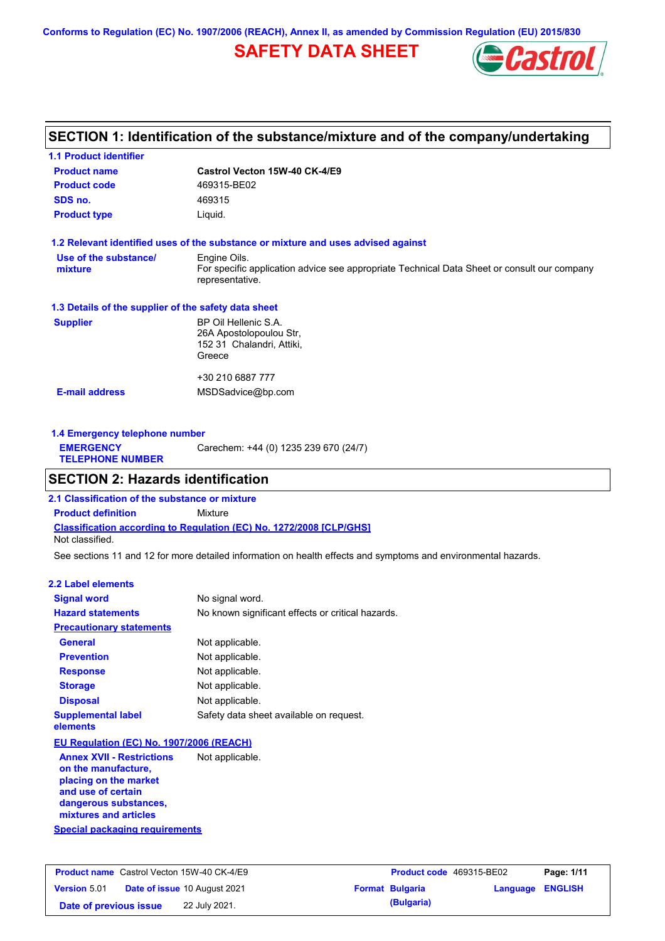**Conforms to Regulation (EC) No. 1907/2006 (REACH), Annex II, as amended by Commission Regulation (EU) 2015/830**

## **SAFETY DATA SHEET**



## **SECTION 1: Identification of the substance/mixture and of the company/undertaking**

| <b>1.1 Product identifier</b>                        |                                                                                                                |  |  |
|------------------------------------------------------|----------------------------------------------------------------------------------------------------------------|--|--|
| <b>Product name</b>                                  | Castrol Vecton 15W-40 CK-4/E9                                                                                  |  |  |
| <b>Product code</b>                                  | 469315-BE02                                                                                                    |  |  |
| SDS no.                                              | 469315                                                                                                         |  |  |
| <b>Product type</b><br>Liquid.                       |                                                                                                                |  |  |
|                                                      | 1.2 Relevant identified uses of the substance or mixture and uses advised against                              |  |  |
| Use of the substance/                                | Engine Oils.                                                                                                   |  |  |
| mixture                                              | For specific application advice see appropriate Technical Data Sheet or consult our company<br>representative. |  |  |
| 1.3 Details of the supplier of the safety data sheet |                                                                                                                |  |  |
| <b>Supplier</b>                                      | BP Oil Hellenic S.A.                                                                                           |  |  |
|                                                      | 26A Apostolopoulou Str,                                                                                        |  |  |
|                                                      | 152 31 Chalandri, Attiki,                                                                                      |  |  |
|                                                      | Greece                                                                                                         |  |  |
|                                                      | +30 210 6887 777                                                                                               |  |  |
| <b>E-mail address</b>                                | MSDSadvice@bp.com                                                                                              |  |  |
|                                                      |                                                                                                                |  |  |
|                                                      |                                                                                                                |  |  |

**1.4 Emergency telephone number EMERGENCY TELEPHONE NUMBER** Carechem: +44 (0) 1235 239 670 (24/7)

## **SECTION 2: Hazards identification**

**Classification according to Regulation (EC) No. 1272/2008 [CLP/GHS] 2.1 Classification of the substance or mixture Product definition** Mixture Not classified.

See sections 11 and 12 for more detailed information on health effects and symptoms and environmental hazards.

#### **2.2 Label elements**

| <b>Signal word</b>                                      | No signal word.                                   |
|---------------------------------------------------------|---------------------------------------------------|
| <b>Hazard statements</b>                                | No known significant effects or critical hazards. |
| <b>Precautionary statements</b>                         |                                                   |
| General                                                 | Not applicable.                                   |
| <b>Prevention</b>                                       | Not applicable.                                   |
| <b>Response</b>                                         | Not applicable.                                   |
| <b>Storage</b>                                          | Not applicable.                                   |
| <b>Disposal</b>                                         | Not applicable.                                   |
| <b>Supplemental label</b><br>elements                   | Safety data sheet available on request.           |
| EU Regulation (EC) No. 1907/2006 (REACH)                |                                                   |
| <b>Annex XVII - Restrictions</b><br>on the manufacture, | Not applicable.                                   |

**placing on the market and use of certain dangerous substances, mixtures and articles**

**Special packaging requirements**

| <b>Product name</b> Castrol Vecton 15W-40 CK-4/E9 |                                     | <b>Product code</b> 469315-BE02 |                         | Page: 1/11 |
|---------------------------------------------------|-------------------------------------|---------------------------------|-------------------------|------------|
| <b>Version 5.01</b>                               | <b>Date of issue 10 August 2021</b> | <b>Format Bulgaria</b>          | <b>Language ENGLISH</b> |            |
| Date of previous issue                            | 22 July 2021.                       | (Bulgaria)                      |                         |            |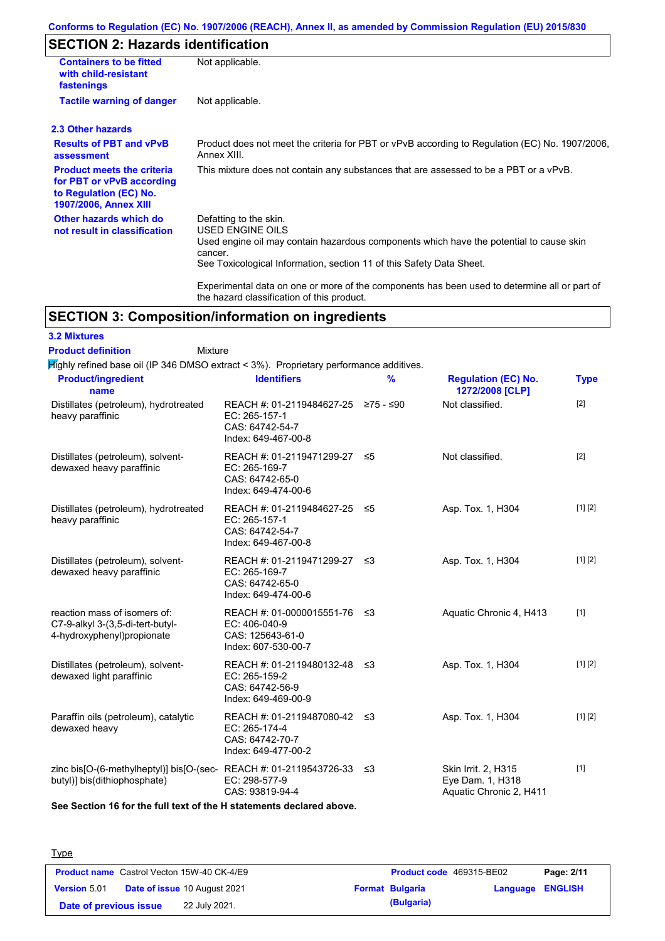### **Conforms to Regulation (EC) No. 1907/2006 (REACH), Annex II, as amended by Commission Regulation (EU) 2015/830**

# **SECTION 2: Hazards identification**

**3.2 Mixtures**

| <b>Containers to be fitted</b><br>with child-resistant<br>fastenings                                                     | Not applicable.                                                                                                                                                                                                          |  |  |  |  |
|--------------------------------------------------------------------------------------------------------------------------|--------------------------------------------------------------------------------------------------------------------------------------------------------------------------------------------------------------------------|--|--|--|--|
| <b>Tactile warning of danger</b>                                                                                         | Not applicable.                                                                                                                                                                                                          |  |  |  |  |
| 2.3 Other hazards                                                                                                        |                                                                                                                                                                                                                          |  |  |  |  |
| <b>Results of PBT and vPvB</b><br>assessment                                                                             | Product does not meet the criteria for PBT or vPvB according to Regulation (EC) No. 1907/2006,<br>Annex XIII.                                                                                                            |  |  |  |  |
| <b>Product meets the criteria</b><br>for PBT or vPvB according<br>to Regulation (EC) No.<br><b>1907/2006, Annex XIII</b> | This mixture does not contain any substances that are assessed to be a PBT or a vPvB.                                                                                                                                    |  |  |  |  |
| Other hazards which do<br>not result in classification                                                                   | Defatting to the skin.<br>USED ENGINE OILS<br>Used engine oil may contain hazardous components which have the potential to cause skin<br>cancer.<br>See Toxicological Information, section 11 of this Safety Data Sheet. |  |  |  |  |
|                                                                                                                          | Experimental data on one or more of the components has been used to determine all or part of<br>the hazard classification of this product.                                                                               |  |  |  |  |

# **SECTION 3: Composition/information on ingredients**

| <b>Product definition</b><br><b>Mixture</b>                                                                |                                                                                                |   |                                                                    |             |
|------------------------------------------------------------------------------------------------------------|------------------------------------------------------------------------------------------------|---|--------------------------------------------------------------------|-------------|
| $\overline{H}$ ighly refined base oil (IP 346 DMSO extract < 3%). Proprietary performance additives.       |                                                                                                |   |                                                                    |             |
| <b>Product/ingredient</b><br>name                                                                          | <b>Identifiers</b>                                                                             | % | <b>Regulation (EC) No.</b><br>1272/2008 [CLP]                      | <b>Type</b> |
| Distillates (petroleum), hydrotreated<br>heavy paraffinic                                                  | REACH #: 01-2119484627-25 ≥75 - ≤90<br>EC: 265-157-1<br>CAS: 64742-54-7<br>Index: 649-467-00-8 |   | Not classified.                                                    | $[2]$       |
| Distillates (petroleum), solvent-<br>dewaxed heavy paraffinic                                              | REACH #: 01-2119471299-27 ≤5<br>EC: 265-169-7<br>CAS: 64742-65-0<br>Index: 649-474-00-6        |   | Not classified.                                                    | $[2]$       |
| Distillates (petroleum), hydrotreated<br>heavy paraffinic                                                  | REACH #: 01-2119484627-25 ≤5<br>EC: 265-157-1<br>CAS: 64742-54-7<br>Index: 649-467-00-8        |   | Asp. Tox. 1, H304                                                  | [1] [2]     |
| Distillates (petroleum), solvent-<br>dewaxed heavy paraffinic                                              | REACH #: 01-2119471299-27 ≤3<br>EC: 265-169-7<br>CAS: 64742-65-0<br>Index: 649-474-00-6        |   | Asp. Tox. 1, H304                                                  | [1] [2]     |
| reaction mass of isomers of:<br>C7-9-alkyl 3-(3,5-di-tert-butyl-<br>4-hydroxyphenyl) propionate            | REACH #: 01-0000015551-76 ≤3<br>EC: 406-040-9<br>CAS: 125643-61-0<br>Index: 607-530-00-7       |   | Aquatic Chronic 4, H413                                            | $[1]$       |
| Distillates (petroleum), solvent-<br>dewaxed light paraffinic                                              | REACH #: 01-2119480132-48 ≤3<br>EC: 265-159-2<br>CAS: 64742-56-9<br>Index: 649-469-00-9        |   | Asp. Tox. 1, H304                                                  | [1] [2]     |
| Paraffin oils (petroleum), catalytic<br>dewaxed heavy                                                      | REACH #: 01-2119487080-42 ≤3<br>EC: 265-174-4<br>CAS: 64742-70-7<br>Index: 649-477-00-2        |   | Asp. Tox. 1, H304                                                  | [1] [2]     |
| zinc bis[O-(6-methylheptyl)] bis[O-(sec-REACH #: 01-2119543726-33 $\leq$ 3<br>butyl)] bis(dithiophosphate) | EC: 298-577-9<br>CAS: 93819-94-4                                                               |   | Skin Irrit. 2, H315<br>Eye Dam. 1, H318<br>Aquatic Chronic 2, H411 | $[1]$       |

**See Section 16 for the full text of the H statements declared above.**

| <b>Type</b>            |                                                   |                        |                          |            |
|------------------------|---------------------------------------------------|------------------------|--------------------------|------------|
|                        | <b>Product name</b> Castrol Vecton 15W-40 CK-4/E9 |                        | Product code 469315-BE02 | Page: 2/11 |
| Version 5.01           | Date of issue 10 August 2021                      | <b>Format Bulgaria</b> | <b>Language ENGLISH</b>  |            |
| Date of previous issue | 22 July 2021.                                     | (Bulgaria)             |                          |            |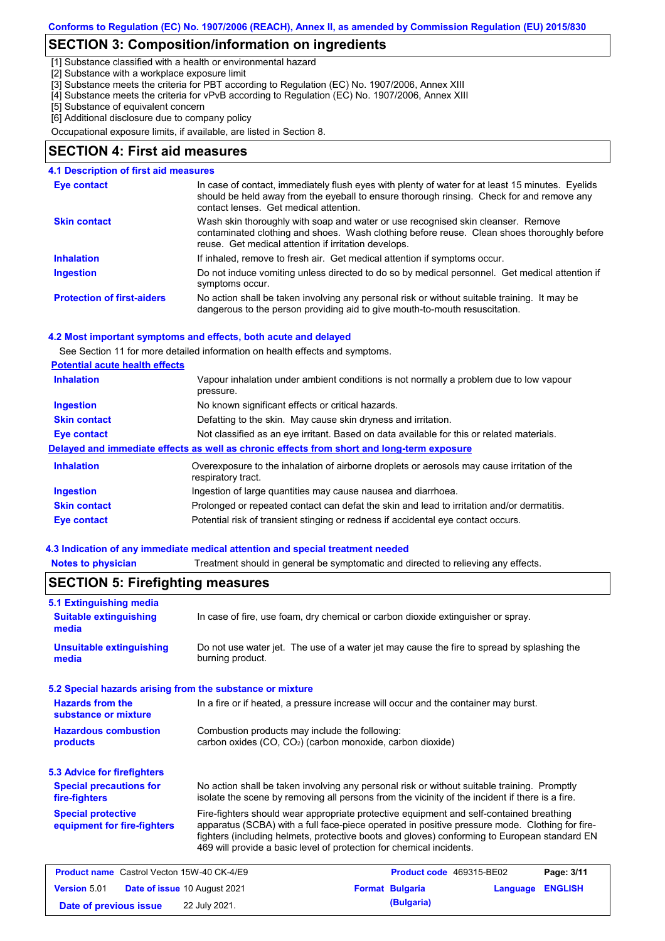## **SECTION 3: Composition/information on ingredients**

[1] Substance classified with a health or environmental hazard

[2] Substance with a workplace exposure limit

[3] Substance meets the criteria for PBT according to Regulation (EC) No. 1907/2006, Annex XIII

[4] Substance meets the criteria for vPvB according to Regulation (EC) No. 1907/2006, Annex XIII

[5] Substance of equivalent concern

[6] Additional disclosure due to company policy

Occupational exposure limits, if available, are listed in Section 8.

#### **SECTION 4: First aid measures**

### **4.1 Description of first aid measures**

| Eye contact                       | In case of contact, immediately flush eyes with plenty of water for at least 15 minutes. Eyelids<br>should be held away from the eyeball to ensure thorough rinsing. Check for and remove any<br>contact lenses. Get medical attention. |
|-----------------------------------|-----------------------------------------------------------------------------------------------------------------------------------------------------------------------------------------------------------------------------------------|
| <b>Skin contact</b>               | Wash skin thoroughly with soap and water or use recognised skin cleanser. Remove<br>contaminated clothing and shoes. Wash clothing before reuse. Clean shoes thoroughly before<br>reuse. Get medical attention if irritation develops.  |
| <b>Inhalation</b>                 | If inhaled, remove to fresh air. Get medical attention if symptoms occur.                                                                                                                                                               |
| <b>Ingestion</b>                  | Do not induce vomiting unless directed to do so by medical personnel. Get medical attention if<br>symptoms occur.                                                                                                                       |
| <b>Protection of first-aiders</b> | No action shall be taken involving any personal risk or without suitable training. It may be<br>dangerous to the person providing aid to give mouth-to-mouth resuscitation.                                                             |

#### **4.2 Most important symptoms and effects, both acute and delayed**

See Section 11 for more detailed information on health effects and symptoms.

|  | <b>Potential acute health effects</b> |  |  |  |
|--|---------------------------------------|--|--|--|
|--|---------------------------------------|--|--|--|

| Vapour inhalation under ambient conditions is not normally a problem due to low vapour<br>pressure.               |  |  |  |
|-------------------------------------------------------------------------------------------------------------------|--|--|--|
| No known significant effects or critical hazards.                                                                 |  |  |  |
| Defatting to the skin. May cause skin dryness and irritation.                                                     |  |  |  |
| Not classified as an eye irritant. Based on data available for this or related materials.                         |  |  |  |
| Delayed and immediate effects as well as chronic effects from short and long-term exposure                        |  |  |  |
| Overexposure to the inhalation of airborne droplets or aerosols may cause irritation of the<br>respiratory tract. |  |  |  |
| Ingestion of large quantities may cause nausea and diarrhoea.                                                     |  |  |  |
| Prolonged or repeated contact can defat the skin and lead to irritation and/or dermatitis.                        |  |  |  |
| Potential risk of transient stinging or redness if accidental eye contact occurs.                                 |  |  |  |
|                                                                                                                   |  |  |  |

#### **4.3 Indication of any immediate medical attention and special treatment needed**

**Notes to physician** Treatment should in general be symptomatic and directed to relieving any effects.

| 5.1 Extinguishing media                                                                                                                                             |                                                                                                                                                                                                                                                                                                                                                                   |  |                          |          |                |
|---------------------------------------------------------------------------------------------------------------------------------------------------------------------|-------------------------------------------------------------------------------------------------------------------------------------------------------------------------------------------------------------------------------------------------------------------------------------------------------------------------------------------------------------------|--|--------------------------|----------|----------------|
| <b>Suitable extinguishing</b><br>media                                                                                                                              | In case of fire, use foam, dry chemical or carbon dioxide extinguisher or spray.                                                                                                                                                                                                                                                                                  |  |                          |          |                |
| <b>Unsuitable extinguishing</b><br>media                                                                                                                            | Do not use water jet. The use of a water jet may cause the fire to spread by splashing the<br>burning product.                                                                                                                                                                                                                                                    |  |                          |          |                |
| 5.2 Special hazards arising from the substance or mixture                                                                                                           |                                                                                                                                                                                                                                                                                                                                                                   |  |                          |          |                |
| <b>Hazards from the</b><br>substance or mixture                                                                                                                     | In a fire or if heated, a pressure increase will occur and the container may burst.                                                                                                                                                                                                                                                                               |  |                          |          |                |
| <b>Hazardous combustion</b><br>Combustion products may include the following:<br>carbon oxides (CO, CO <sub>2</sub> ) (carbon monoxide, carbon dioxide)<br>products |                                                                                                                                                                                                                                                                                                                                                                   |  |                          |          |                |
| <b>5.3 Advice for firefighters</b>                                                                                                                                  |                                                                                                                                                                                                                                                                                                                                                                   |  |                          |          |                |
| <b>Special precautions for</b><br>fire-fighters                                                                                                                     | No action shall be taken involving any personal risk or without suitable training. Promptly<br>isolate the scene by removing all persons from the vicinity of the incident if there is a fire.                                                                                                                                                                    |  |                          |          |                |
| <b>Special protective</b><br>equipment for fire-fighters                                                                                                            | Fire-fighters should wear appropriate protective equipment and self-contained breathing<br>apparatus (SCBA) with a full face-piece operated in positive pressure mode. Clothing for fire-<br>fighters (including helmets, protective boots and gloves) conforming to European standard EN<br>469 will provide a basic level of protection for chemical incidents. |  |                          |          |                |
| <b>Product name</b> Castrol Vecton 15W-40 CK-4/E9                                                                                                                   |                                                                                                                                                                                                                                                                                                                                                                   |  | Product code 469315-BE02 |          | Page: 3/11     |
| <b>Version 5.01</b>                                                                                                                                                 | Date of issue 10 August 2021                                                                                                                                                                                                                                                                                                                                      |  | <b>Format Bulgaria</b>   | Language | <b>ENGLISH</b> |
| Date of previous issue                                                                                                                                              | 22 July 2021.                                                                                                                                                                                                                                                                                                                                                     |  | (Bulgaria)               |          |                |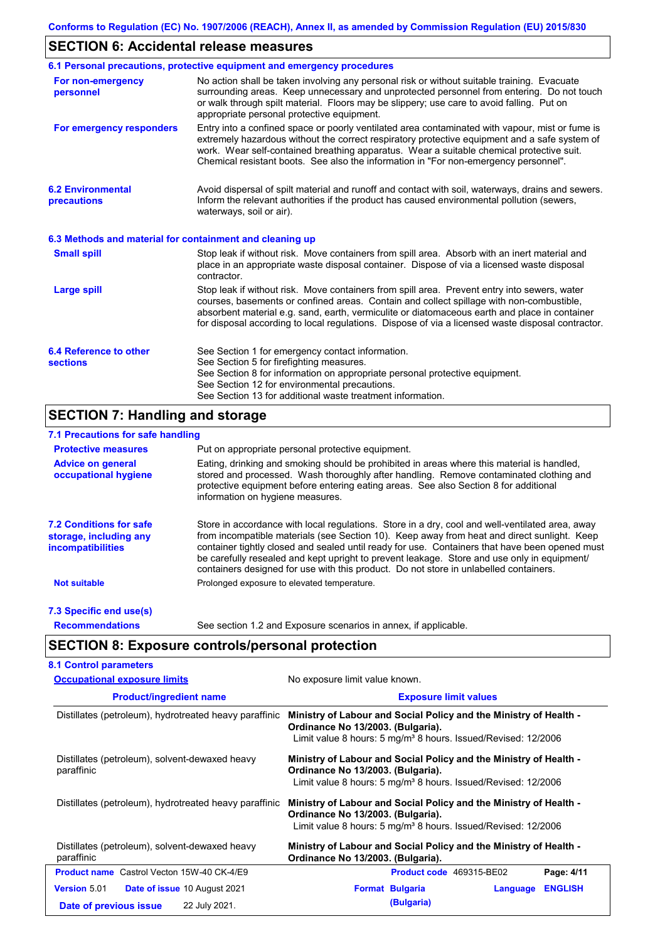## **SECTION 6: Accidental release measures**

|                                                          | 6.1 Personal precautions, protective equipment and emergency procedures                                                                                                                                                                                                                                                                                                                        |  |  |  |
|----------------------------------------------------------|------------------------------------------------------------------------------------------------------------------------------------------------------------------------------------------------------------------------------------------------------------------------------------------------------------------------------------------------------------------------------------------------|--|--|--|
| For non-emergency<br>personnel                           | No action shall be taken involving any personal risk or without suitable training. Evacuate<br>surrounding areas. Keep unnecessary and unprotected personnel from entering. Do not touch<br>or walk through spilt material. Floors may be slippery; use care to avoid falling. Put on<br>appropriate personal protective equipment.                                                            |  |  |  |
| For emergency responders                                 | Entry into a confined space or poorly ventilated area contaminated with vapour, mist or fume is<br>extremely hazardous without the correct respiratory protective equipment and a safe system of<br>work. Wear self-contained breathing apparatus. Wear a suitable chemical protective suit.<br>Chemical resistant boots. See also the information in "For non-emergency personnel".           |  |  |  |
| <b>6.2 Environmental</b><br>precautions                  | Avoid dispersal of spilt material and runoff and contact with soil, waterways, drains and sewers.<br>Inform the relevant authorities if the product has caused environmental pollution (sewers,<br>waterways, soil or air).                                                                                                                                                                    |  |  |  |
| 6.3 Methods and material for containment and cleaning up |                                                                                                                                                                                                                                                                                                                                                                                                |  |  |  |
| <b>Small spill</b>                                       | Stop leak if without risk. Move containers from spill area. Absorb with an inert material and<br>place in an appropriate waste disposal container. Dispose of via a licensed waste disposal<br>contractor.                                                                                                                                                                                     |  |  |  |
| <b>Large spill</b>                                       | Stop leak if without risk. Move containers from spill area. Prevent entry into sewers, water<br>courses, basements or confined areas. Contain and collect spillage with non-combustible,<br>absorbent material e.g. sand, earth, vermiculite or diatomaceous earth and place in container<br>for disposal according to local regulations. Dispose of via a licensed waste disposal contractor. |  |  |  |
| 6.4 Reference to other<br><b>sections</b>                | See Section 1 for emergency contact information.<br>See Section 5 for firefighting measures.<br>See Section 8 for information on appropriate personal protective equipment.<br>See Section 12 for environmental precautions.<br>See Section 13 for additional waste treatment information.                                                                                                     |  |  |  |

## **SECTION 7: Handling and storage**

## **7.1 Precautions for safe handling**

| <b>Protective measures</b>                                                           | Put on appropriate personal protective equipment.                                                                                                                                                                                                                                                                                                                                                                                                                                        |
|--------------------------------------------------------------------------------------|------------------------------------------------------------------------------------------------------------------------------------------------------------------------------------------------------------------------------------------------------------------------------------------------------------------------------------------------------------------------------------------------------------------------------------------------------------------------------------------|
| <b>Advice on general</b><br>occupational hygiene                                     | Eating, drinking and smoking should be prohibited in areas where this material is handled,<br>stored and processed. Wash thoroughly after handling. Remove contaminated clothing and<br>protective equipment before entering eating areas. See also Section 8 for additional<br>information on hygiene measures.                                                                                                                                                                         |
| <b>7.2 Conditions for safe</b><br>storage, including any<br><i>incompatibilities</i> | Store in accordance with local requiations. Store in a dry, cool and well-ventilated area, away<br>from incompatible materials (see Section 10). Keep away from heat and direct sunlight. Keep<br>container tightly closed and sealed until ready for use. Containers that have been opened must<br>be carefully resealed and kept upright to prevent leakage. Store and use only in equipment/<br>containers designed for use with this product. Do not store in unlabelled containers. |
| <b>Not suitable</b>                                                                  | Prolonged exposure to elevated temperature.                                                                                                                                                                                                                                                                                                                                                                                                                                              |
| 7.3 Specific end use(s)                                                              |                                                                                                                                                                                                                                                                                                                                                                                                                                                                                          |
| <b>Recommendations</b>                                                               | See section 1.2 and Exposure scenarios in annex, if applicable.                                                                                                                                                                                                                                                                                                                                                                                                                          |

# **SECTION 8: Exposure controls/personal protection**

| <b>Occupational exposure limits</b>                          | No exposure limit value known.                                                                                                                                                      |  |  |  |
|--------------------------------------------------------------|-------------------------------------------------------------------------------------------------------------------------------------------------------------------------------------|--|--|--|
| <b>Product/ingredient name</b>                               | <b>Exposure limit values</b>                                                                                                                                                        |  |  |  |
| Distillates (petroleum), hydrotreated heavy paraffinic       | Ministry of Labour and Social Policy and the Ministry of Health -<br>Ordinance No 13/2003. (Bulgaria).<br>Limit value 8 hours: 5 mg/m <sup>3</sup> 8 hours. Issued/Revised: 12/2006 |  |  |  |
| Distillates (petroleum), solvent-dewaxed heavy<br>paraffinic | Ministry of Labour and Social Policy and the Ministry of Health -<br>Ordinance No 13/2003. (Bulgaria).<br>Limit value 8 hours: 5 mg/m <sup>3</sup> 8 hours. Issued/Revised: 12/2006 |  |  |  |
| Distillates (petroleum), hydrotreated heavy paraffinic       | Ministry of Labour and Social Policy and the Ministry of Health -<br>Ordinance No 13/2003. (Bulgaria).<br>Limit value 8 hours: 5 mg/m <sup>3</sup> 8 hours. Issued/Revised: 12/2006 |  |  |  |
| Distillates (petroleum), solvent-dewaxed heavy<br>paraffinic | Ministry of Labour and Social Policy and the Ministry of Health -<br>Ordinance No 13/2003. (Bulgaria).                                                                              |  |  |  |
| <b>Product name</b> Castrol Vecton 15W-40 CK-4/E9            | Page: 4/11<br>Product code 469315-BE02                                                                                                                                              |  |  |  |
| <b>Version 5.01</b><br><b>Date of issue 10 August 2021</b>   | <b>ENGLISH</b><br><b>Format Bulgaria</b><br>Language                                                                                                                                |  |  |  |
| 22 July 2021.<br>Date of previous issue                      | (Bulgaria)                                                                                                                                                                          |  |  |  |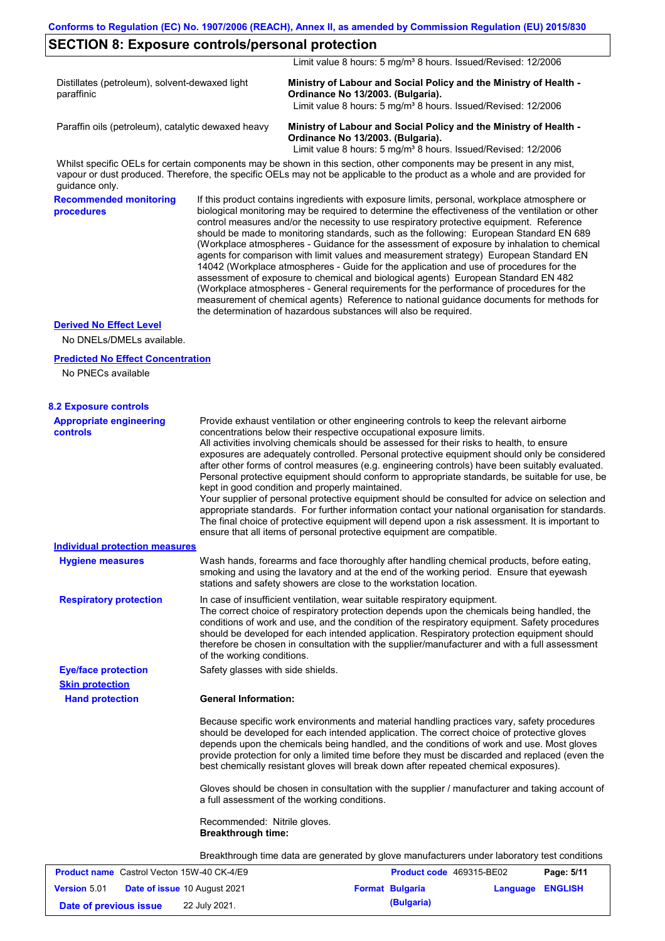### **SECTION 8: Exposure controls/personal protection**

Limit value 8 hours: 5 mg/m<sup>3</sup> 8 hours. Issued/Revised: 12/2006

| Distillates (petroleum), solvent-dewaxed light<br>paraffinic | Ministry of Labour and Social Policy and the Ministry of Health -<br>Ordinance No 13/2003. (Bulgaria).<br>Limit value 8 hours: 5 mg/m <sup>3</sup> 8 hours. Issued/Revised: 12/2006 |
|--------------------------------------------------------------|-------------------------------------------------------------------------------------------------------------------------------------------------------------------------------------|
| Paraffin oils (petroleum), catalytic dewaxed heavy           | Ministry of Labour and Social Policy and the Ministry of Health -<br>Ordinance No 13/2003. (Bulgaria).<br>Limit value 8 hours: 5 mg/m <sup>3</sup> 8 hours. Issued/Revised: 12/2006 |

Whilst specific OELs for certain components may be shown in this section, other components may be present in any mist, vapour or dust produced. Therefore, the specific OELs may not be applicable to the product as a whole and are provided for guidance only.

**Recommended monitoring procedures** If this product contains ingredients with exposure limits, personal, workplace atmosphere or biological monitoring may be required to determine the effectiveness of the ventilation or other control measures and/or the necessity to use respiratory protective equipment. Reference should be made to monitoring standards, such as the following: European Standard EN 689 (Workplace atmospheres - Guidance for the assessment of exposure by inhalation to chemical agents for comparison with limit values and measurement strategy) European Standard EN 14042 (Workplace atmospheres - Guide for the application and use of procedures for the assessment of exposure to chemical and biological agents) European Standard EN 482 (Workplace atmospheres - General requirements for the performance of procedures for the measurement of chemical agents) Reference to national guidance documents for methods for the determination of hazardous substances will also be required.

#### **Derived No Effect Level**

No DNELs/DMELs available.

#### **Predicted No Effect Concentration**

No PNECs available

| <b>8.2 Exposure controls</b>                      |                                                                                                                                                                                                                                                                                                                                                                                                                                                                                                                                                                                                                                                                                                                                                                                                                                                                                                                                                                                                         |                                 |                  |
|---------------------------------------------------|---------------------------------------------------------------------------------------------------------------------------------------------------------------------------------------------------------------------------------------------------------------------------------------------------------------------------------------------------------------------------------------------------------------------------------------------------------------------------------------------------------------------------------------------------------------------------------------------------------------------------------------------------------------------------------------------------------------------------------------------------------------------------------------------------------------------------------------------------------------------------------------------------------------------------------------------------------------------------------------------------------|---------------------------------|------------------|
| <b>Appropriate engineering</b><br><b>controls</b> | Provide exhaust ventilation or other engineering controls to keep the relevant airborne<br>concentrations below their respective occupational exposure limits.<br>All activities involving chemicals should be assessed for their risks to health, to ensure<br>exposures are adequately controlled. Personal protective equipment should only be considered<br>after other forms of control measures (e.g. engineering controls) have been suitably evaluated.<br>Personal protective equipment should conform to appropriate standards, be suitable for use, be<br>kept in good condition and properly maintained.<br>Your supplier of personal protective equipment should be consulted for advice on selection and<br>appropriate standards. For further information contact your national organisation for standards.<br>The final choice of protective equipment will depend upon a risk assessment. It is important to<br>ensure that all items of personal protective equipment are compatible. |                                 |                  |
| Individual protection measures                    |                                                                                                                                                                                                                                                                                                                                                                                                                                                                                                                                                                                                                                                                                                                                                                                                                                                                                                                                                                                                         |                                 |                  |
| <b>Hygiene measures</b>                           | Wash hands, forearms and face thoroughly after handling chemical products, before eating,<br>smoking and using the lavatory and at the end of the working period. Ensure that eyewash<br>stations and safety showers are close to the workstation location.                                                                                                                                                                                                                                                                                                                                                                                                                                                                                                                                                                                                                                                                                                                                             |                                 |                  |
| <b>Respiratory protection</b>                     | In case of insufficient ventilation, wear suitable respiratory equipment.<br>The correct choice of respiratory protection depends upon the chemicals being handled, the<br>conditions of work and use, and the condition of the respiratory equipment. Safety procedures<br>should be developed for each intended application. Respiratory protection equipment should<br>therefore be chosen in consultation with the supplier/manufacturer and with a full assessment<br>of the working conditions.                                                                                                                                                                                                                                                                                                                                                                                                                                                                                                   |                                 |                  |
| <b>Eye/face protection</b>                        | Safety glasses with side shields.                                                                                                                                                                                                                                                                                                                                                                                                                                                                                                                                                                                                                                                                                                                                                                                                                                                                                                                                                                       |                                 |                  |
| <b>Skin protection</b>                            |                                                                                                                                                                                                                                                                                                                                                                                                                                                                                                                                                                                                                                                                                                                                                                                                                                                                                                                                                                                                         |                                 |                  |
| <b>Hand protection</b>                            | <b>General Information:</b>                                                                                                                                                                                                                                                                                                                                                                                                                                                                                                                                                                                                                                                                                                                                                                                                                                                                                                                                                                             |                                 |                  |
|                                                   | Because specific work environments and material handling practices vary, safety procedures<br>should be developed for each intended application. The correct choice of protective gloves<br>depends upon the chemicals being handled, and the conditions of work and use. Most gloves<br>provide protection for only a limited time before they must be discarded and replaced (even the<br>best chemically resistant gloves will break down after repeated chemical exposures).                                                                                                                                                                                                                                                                                                                                                                                                                                                                                                                        |                                 |                  |
|                                                   | Gloves should be chosen in consultation with the supplier / manufacturer and taking account of<br>a full assessment of the working conditions.                                                                                                                                                                                                                                                                                                                                                                                                                                                                                                                                                                                                                                                                                                                                                                                                                                                          |                                 |                  |
|                                                   | Recommended: Nitrile gloves.<br><b>Breakthrough time:</b>                                                                                                                                                                                                                                                                                                                                                                                                                                                                                                                                                                                                                                                                                                                                                                                                                                                                                                                                               |                                 |                  |
|                                                   | Breakthrough time data are generated by glove manufacturers under laboratory test conditions                                                                                                                                                                                                                                                                                                                                                                                                                                                                                                                                                                                                                                                                                                                                                                                                                                                                                                            |                                 |                  |
| <b>Product name</b> Castrol Vecton 15W-40 CK-4/E9 |                                                                                                                                                                                                                                                                                                                                                                                                                                                                                                                                                                                                                                                                                                                                                                                                                                                                                                                                                                                                         | <b>Product code</b> 469315-BE02 | Page: 5/11       |
| <b>Version 5.01</b>                               | <b>Date of issue 10 August 2021</b>                                                                                                                                                                                                                                                                                                                                                                                                                                                                                                                                                                                                                                                                                                                                                                                                                                                                                                                                                                     | <b>Format Bulgaria</b>          | Language ENGLISH |
| Date of previous issue                            | 22 July 2021.                                                                                                                                                                                                                                                                                                                                                                                                                                                                                                                                                                                                                                                                                                                                                                                                                                                                                                                                                                                           | (Bulgaria)                      |                  |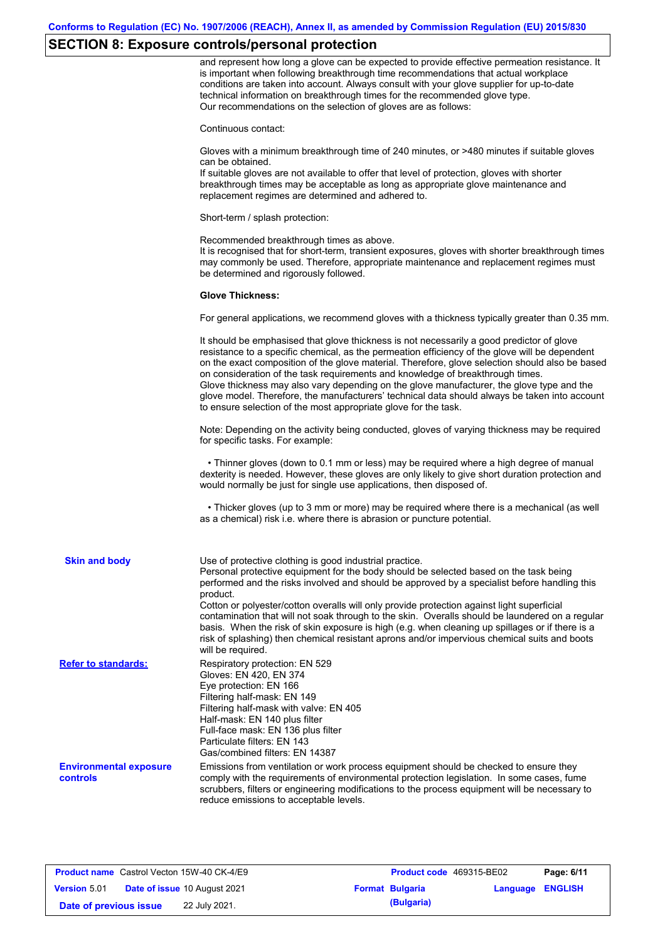# **SECTION 8: Exposure controls/personal protection**

|                                           | and represent how long a glove can be expected to provide effective permeation resistance. It<br>is important when following breakthrough time recommendations that actual workplace<br>conditions are taken into account. Always consult with your glove supplier for up-to-date<br>technical information on breakthrough times for the recommended glove type.<br>Our recommendations on the selection of gloves are as follows:                                                                                                                                                                                                                |
|-------------------------------------------|---------------------------------------------------------------------------------------------------------------------------------------------------------------------------------------------------------------------------------------------------------------------------------------------------------------------------------------------------------------------------------------------------------------------------------------------------------------------------------------------------------------------------------------------------------------------------------------------------------------------------------------------------|
|                                           | Continuous contact:                                                                                                                                                                                                                                                                                                                                                                                                                                                                                                                                                                                                                               |
|                                           | Gloves with a minimum breakthrough time of 240 minutes, or >480 minutes if suitable gloves<br>can be obtained.                                                                                                                                                                                                                                                                                                                                                                                                                                                                                                                                    |
|                                           | If suitable gloves are not available to offer that level of protection, gloves with shorter<br>breakthrough times may be acceptable as long as appropriate glove maintenance and<br>replacement regimes are determined and adhered to.                                                                                                                                                                                                                                                                                                                                                                                                            |
|                                           | Short-term / splash protection:                                                                                                                                                                                                                                                                                                                                                                                                                                                                                                                                                                                                                   |
|                                           | Recommended breakthrough times as above.<br>It is recognised that for short-term, transient exposures, gloves with shorter breakthrough times<br>may commonly be used. Therefore, appropriate maintenance and replacement regimes must<br>be determined and rigorously followed.                                                                                                                                                                                                                                                                                                                                                                  |
|                                           | <b>Glove Thickness:</b>                                                                                                                                                                                                                                                                                                                                                                                                                                                                                                                                                                                                                           |
|                                           | For general applications, we recommend gloves with a thickness typically greater than 0.35 mm.                                                                                                                                                                                                                                                                                                                                                                                                                                                                                                                                                    |
|                                           | It should be emphasised that glove thickness is not necessarily a good predictor of glove<br>resistance to a specific chemical, as the permeation efficiency of the glove will be dependent<br>on the exact composition of the glove material. Therefore, glove selection should also be based<br>on consideration of the task requirements and knowledge of breakthrough times.<br>Glove thickness may also vary depending on the glove manufacturer, the glove type and the<br>glove model. Therefore, the manufacturers' technical data should always be taken into account<br>to ensure selection of the most appropriate glove for the task. |
|                                           | Note: Depending on the activity being conducted, gloves of varying thickness may be required<br>for specific tasks. For example:                                                                                                                                                                                                                                                                                                                                                                                                                                                                                                                  |
|                                           | • Thinner gloves (down to 0.1 mm or less) may be required where a high degree of manual<br>dexterity is needed. However, these gloves are only likely to give short duration protection and<br>would normally be just for single use applications, then disposed of.                                                                                                                                                                                                                                                                                                                                                                              |
|                                           | • Thicker gloves (up to 3 mm or more) may be required where there is a mechanical (as well<br>as a chemical) risk i.e. where there is abrasion or puncture potential.                                                                                                                                                                                                                                                                                                                                                                                                                                                                             |
| <b>Skin and body</b>                      | Use of protective clothing is good industrial practice.<br>Personal protective equipment for the body should be selected based on the task being                                                                                                                                                                                                                                                                                                                                                                                                                                                                                                  |
|                                           | performed and the risks involved and should be approved by a specialist before handling this<br>product.                                                                                                                                                                                                                                                                                                                                                                                                                                                                                                                                          |
|                                           | Cotton or polyester/cotton overalls will only provide protection against light superficial<br>contamination that will not soak through to the skin. Overalls should be laundered on a regular<br>basis. When the risk of skin exposure is high (e.g. when cleaning up spillages or if there is a<br>risk of splashing) then chemical resistant aprons and/or impervious chemical suits and boots<br>will be required.                                                                                                                                                                                                                             |
| <b>Refer to standards:</b>                | Respiratory protection: EN 529<br>Gloves: EN 420, EN 374<br>Eye protection: EN 166<br>Filtering half-mask: EN 149<br>Filtering half-mask with valve: EN 405<br>Half-mask: EN 140 plus filter<br>Full-face mask: EN 136 plus filter<br>Particulate filters: EN 143<br>Gas/combined filters: EN 14387                                                                                                                                                                                                                                                                                                                                               |
| <b>Environmental exposure</b><br>controls | Emissions from ventilation or work process equipment should be checked to ensure they<br>comply with the requirements of environmental protection legislation. In some cases, fume<br>scrubbers, filters or engineering modifications to the process equipment will be necessary to<br>reduce emissions to acceptable levels.                                                                                                                                                                                                                                                                                                                     |

| <b>Product name</b> Castrol Vecton 15W-40 CK-4/E9 |                                     | <b>Product code</b> 469315-BE02 |                         | Page: 6/11 |
|---------------------------------------------------|-------------------------------------|---------------------------------|-------------------------|------------|
| <b>Version 5.01</b>                               | <b>Date of issue 10 August 2021</b> | <b>Format Bulgaria</b>          | <b>Language ENGLISH</b> |            |
| Date of previous issue                            | 22 July 2021.                       | (Bulgaria)                      |                         |            |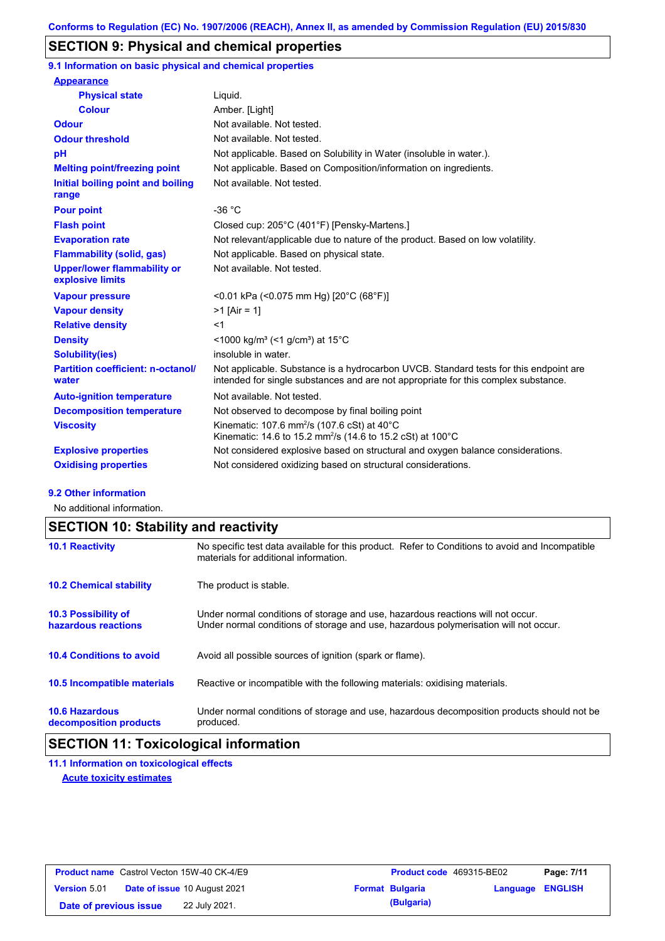## **SECTION 9: Physical and chemical properties**

**9.1 Information on basic physical and chemical properties**

| <b>Appearance</b>                                      |                                                                                                                                                                             |
|--------------------------------------------------------|-----------------------------------------------------------------------------------------------------------------------------------------------------------------------------|
| <b>Physical state</b>                                  | Liquid.                                                                                                                                                                     |
| <b>Colour</b>                                          | Amber. [Light]                                                                                                                                                              |
| <b>Odour</b>                                           | Not available. Not tested.                                                                                                                                                  |
| <b>Odour threshold</b>                                 | Not available. Not tested.                                                                                                                                                  |
| pH                                                     | Not applicable. Based on Solubility in Water (insoluble in water.).                                                                                                         |
| <b>Melting point/freezing point</b>                    | Not applicable. Based on Composition/information on ingredients.                                                                                                            |
| Initial boiling point and boiling<br>range             | Not available. Not tested.                                                                                                                                                  |
| <b>Pour point</b>                                      | $-36 °C$                                                                                                                                                                    |
| <b>Flash point</b>                                     | Closed cup: 205°C (401°F) [Pensky-Martens.]                                                                                                                                 |
| <b>Evaporation rate</b>                                | Not relevant/applicable due to nature of the product. Based on low volatility.                                                                                              |
| <b>Flammability (solid, gas)</b>                       | Not applicable. Based on physical state.                                                                                                                                    |
| <b>Upper/lower flammability or</b><br>explosive limits | Not available. Not tested.                                                                                                                                                  |
| <b>Vapour pressure</b>                                 | <0.01 kPa (<0.075 mm Hg) [20°C (68°F)]                                                                                                                                      |
| <b>Vapour density</b>                                  | $>1$ [Air = 1]                                                                                                                                                              |
| <b>Relative density</b>                                | $<$ 1                                                                                                                                                                       |
| <b>Density</b>                                         | $\leq$ 1000 kg/m <sup>3</sup> (<1 g/cm <sup>3</sup> ) at 15 <sup>°</sup> C                                                                                                  |
| <b>Solubility(ies)</b>                                 | insoluble in water.                                                                                                                                                         |
| <b>Partition coefficient: n-octanol/</b><br>water      | Not applicable. Substance is a hydrocarbon UVCB. Standard tests for this endpoint are<br>intended for single substances and are not appropriate for this complex substance. |
| <b>Auto-ignition temperature</b>                       | Not available. Not tested.                                                                                                                                                  |
| <b>Decomposition temperature</b>                       | Not observed to decompose by final boiling point                                                                                                                            |
| <b>Viscosity</b>                                       | Kinematic: 107.6 mm <sup>2</sup> /s (107.6 cSt) at 40°C<br>Kinematic: 14.6 to 15.2 mm <sup>2</sup> /s (14.6 to 15.2 cSt) at 100 °C                                          |
| <b>Explosive properties</b>                            | Not considered explosive based on structural and oxygen balance considerations.                                                                                             |
| <b>Oxidising properties</b>                            | Not considered oxidizing based on structural considerations.                                                                                                                |

#### **9.2 Other information**

No additional information.

## **SECTION 10: Stability and reactivity**

| <b>10.1 Reactivity</b>                            | No specific test data available for this product. Refer to Conditions to avoid and Incompatible<br>materials for additional information.                                |
|---------------------------------------------------|-------------------------------------------------------------------------------------------------------------------------------------------------------------------------|
| <b>10.2 Chemical stability</b>                    | The product is stable.                                                                                                                                                  |
| <b>10.3 Possibility of</b><br>hazardous reactions | Under normal conditions of storage and use, hazardous reactions will not occur.<br>Under normal conditions of storage and use, hazardous polymerisation will not occur. |
| <b>10.4 Conditions to avoid</b>                   | Avoid all possible sources of ignition (spark or flame).                                                                                                                |
| <b>10.5 Incompatible materials</b>                | Reactive or incompatible with the following materials: oxidising materials.                                                                                             |
| <b>10.6 Hazardous</b><br>decomposition products   | Under normal conditions of storage and use, hazardous decomposition products should not be<br>produced.                                                                 |

## **SECTION 11: Toxicological information**

**11.1 Information on toxicological effects Acute toxicity estimates**

|                        | <b>Product name</b> Castrol Vecton 15W-40 CK-4/E9 | <b>Product code</b> 469315-BE02 |                  | Page: 7/11 |
|------------------------|---------------------------------------------------|---------------------------------|------------------|------------|
| <b>Version 5.01</b>    | <b>Date of issue 10 August 2021</b>               | <b>Format Bulgaria</b>          | Language ENGLISH |            |
| Date of previous issue | 22 July 2021.                                     | (Bulgaria)                      |                  |            |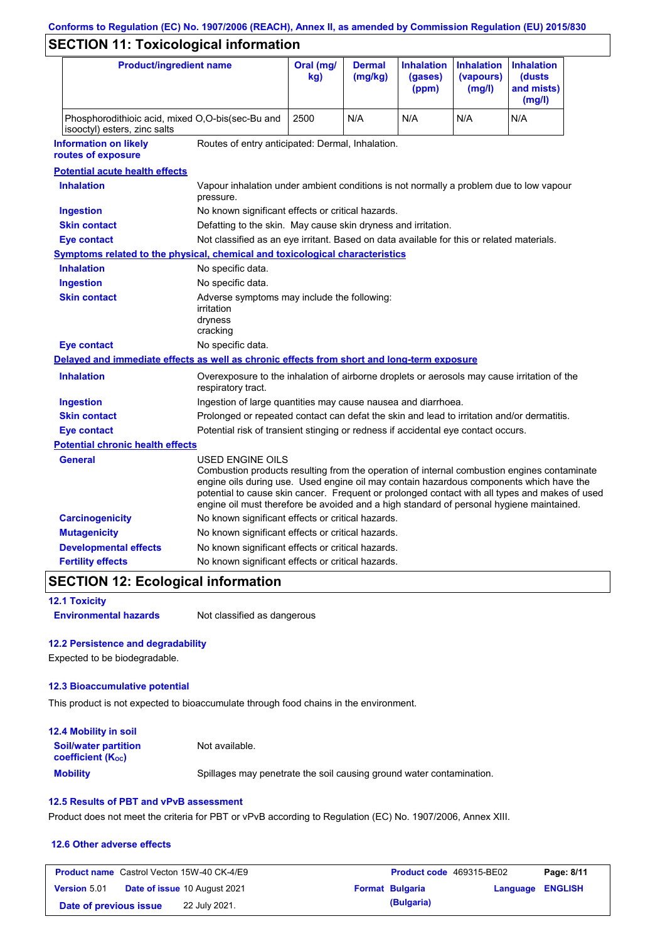# **Conforms to Regulation (EC) No. 1907/2006 (REACH), Annex II, as amended by Commission Regulation (EU) 2015/830**

# **SECTION 11: Toxicological information**

| <b>Product/ingredient name</b>                                                             |                                                                                                                                                                                                                                                                                                                                                                                                          | Oral (mg/<br>kg)                                                                            | <b>Dermal</b><br>(mg/kg) | <b>Inhalation</b><br>(gases)<br>(ppm) | <b>Inhalation</b><br>(vapours)<br>(mg/l) | <b>Inhalation</b><br>(dusts)<br>and mists)<br>(mg/l) |
|--------------------------------------------------------------------------------------------|----------------------------------------------------------------------------------------------------------------------------------------------------------------------------------------------------------------------------------------------------------------------------------------------------------------------------------------------------------------------------------------------------------|---------------------------------------------------------------------------------------------|--------------------------|---------------------------------------|------------------------------------------|------------------------------------------------------|
| isooctyl) esters, zinc salts                                                               | Phosphorodithioic acid, mixed O,O-bis(sec-Bu and                                                                                                                                                                                                                                                                                                                                                         |                                                                                             | N/A                      | N/A                                   | N/A                                      | N/A                                                  |
| <b>Information on likely</b><br>routes of exposure                                         | Routes of entry anticipated: Dermal, Inhalation.                                                                                                                                                                                                                                                                                                                                                         |                                                                                             |                          |                                       |                                          |                                                      |
| <b>Potential acute health effects</b>                                                      |                                                                                                                                                                                                                                                                                                                                                                                                          |                                                                                             |                          |                                       |                                          |                                                      |
| <b>Inhalation</b>                                                                          | Vapour inhalation under ambient conditions is not normally a problem due to low vapour<br>pressure.                                                                                                                                                                                                                                                                                                      |                                                                                             |                          |                                       |                                          |                                                      |
| <b>Ingestion</b>                                                                           | No known significant effects or critical hazards.                                                                                                                                                                                                                                                                                                                                                        |                                                                                             |                          |                                       |                                          |                                                      |
| <b>Skin contact</b>                                                                        | Defatting to the skin. May cause skin dryness and irritation.                                                                                                                                                                                                                                                                                                                                            |                                                                                             |                          |                                       |                                          |                                                      |
| <b>Eye contact</b>                                                                         | Not classified as an eye irritant. Based on data available for this or related materials.                                                                                                                                                                                                                                                                                                                |                                                                                             |                          |                                       |                                          |                                                      |
| <b>Symptoms related to the physical, chemical and toxicological characteristics</b>        |                                                                                                                                                                                                                                                                                                                                                                                                          |                                                                                             |                          |                                       |                                          |                                                      |
| <b>Inhalation</b>                                                                          | No specific data.                                                                                                                                                                                                                                                                                                                                                                                        |                                                                                             |                          |                                       |                                          |                                                      |
| <b>Ingestion</b>                                                                           | No specific data.                                                                                                                                                                                                                                                                                                                                                                                        |                                                                                             |                          |                                       |                                          |                                                      |
| <b>Skin contact</b>                                                                        | irritation<br>dryness<br>cracking                                                                                                                                                                                                                                                                                                                                                                        | Adverse symptoms may include the following:                                                 |                          |                                       |                                          |                                                      |
| <b>Eye contact</b>                                                                         | No specific data.                                                                                                                                                                                                                                                                                                                                                                                        |                                                                                             |                          |                                       |                                          |                                                      |
| Delayed and immediate effects as well as chronic effects from short and long-term exposure |                                                                                                                                                                                                                                                                                                                                                                                                          |                                                                                             |                          |                                       |                                          |                                                      |
| <b>Inhalation</b>                                                                          | respiratory tract.                                                                                                                                                                                                                                                                                                                                                                                       | Overexposure to the inhalation of airborne droplets or aerosols may cause irritation of the |                          |                                       |                                          |                                                      |
| <b>Ingestion</b>                                                                           |                                                                                                                                                                                                                                                                                                                                                                                                          | Ingestion of large quantities may cause nausea and diarrhoea.                               |                          |                                       |                                          |                                                      |
| <b>Skin contact</b>                                                                        |                                                                                                                                                                                                                                                                                                                                                                                                          | Prolonged or repeated contact can defat the skin and lead to irritation and/or dermatitis.  |                          |                                       |                                          |                                                      |
| <b>Eye contact</b>                                                                         |                                                                                                                                                                                                                                                                                                                                                                                                          | Potential risk of transient stinging or redness if accidental eye contact occurs.           |                          |                                       |                                          |                                                      |
| <b>Potential chronic health effects</b>                                                    |                                                                                                                                                                                                                                                                                                                                                                                                          |                                                                                             |                          |                                       |                                          |                                                      |
| General                                                                                    | USED ENGINE OILS<br>Combustion products resulting from the operation of internal combustion engines contaminate<br>engine oils during use. Used engine oil may contain hazardous components which have the<br>potential to cause skin cancer. Frequent or prolonged contact with all types and makes of used<br>engine oil must therefore be avoided and a high standard of personal hygiene maintained. |                                                                                             |                          |                                       |                                          |                                                      |
| <b>Carcinogenicity</b>                                                                     | No known significant effects or critical hazards.                                                                                                                                                                                                                                                                                                                                                        |                                                                                             |                          |                                       |                                          |                                                      |
| <b>Mutagenicity</b>                                                                        | No known significant effects or critical hazards.                                                                                                                                                                                                                                                                                                                                                        |                                                                                             |                          |                                       |                                          |                                                      |
| <b>Developmental effects</b>                                                               | No known significant effects or critical hazards.                                                                                                                                                                                                                                                                                                                                                        |                                                                                             |                          |                                       |                                          |                                                      |
| <b>Fertility effects</b>                                                                   | No known significant effects or critical hazards.                                                                                                                                                                                                                                                                                                                                                        |                                                                                             |                          |                                       |                                          |                                                      |

## **SECTION 12: Ecological information**

**12.1 Toxicity**

**Environmental hazards** Not classified as dangerous

#### **12.2 Persistence and degradability**

Expected to be biodegradable.

#### **12.3 Bioaccumulative potential**

This product is not expected to bioaccumulate through food chains in the environment.

| <b>12.4 Mobility in soil</b>                                         |                                                                      |
|----------------------------------------------------------------------|----------------------------------------------------------------------|
| <b>Soil/water partition</b><br><b>coefficient</b> (K <sub>oc</sub> ) | Not available.                                                       |
| <b>Mobility</b>                                                      | Spillages may penetrate the soil causing ground water contamination. |

#### **12.5 Results of PBT and vPvB assessment**

Product does not meet the criteria for PBT or vPvB according to Regulation (EC) No. 1907/2006, Annex XIII.

#### **12.6 Other adverse effects**

|                        | <b>Product name</b> Castrol Vecton 15W-40 CK-4/E9 | <b>Product code</b> 469315-BE02 |                  | Page: 8/11 |
|------------------------|---------------------------------------------------|---------------------------------|------------------|------------|
| <b>Version 5.01</b>    | <b>Date of issue 10 August 2021</b>               | <b>Format Bulgaria</b>          | Language ENGLISH |            |
| Date of previous issue | 22 July 2021.                                     | (Bulgaria)                      |                  |            |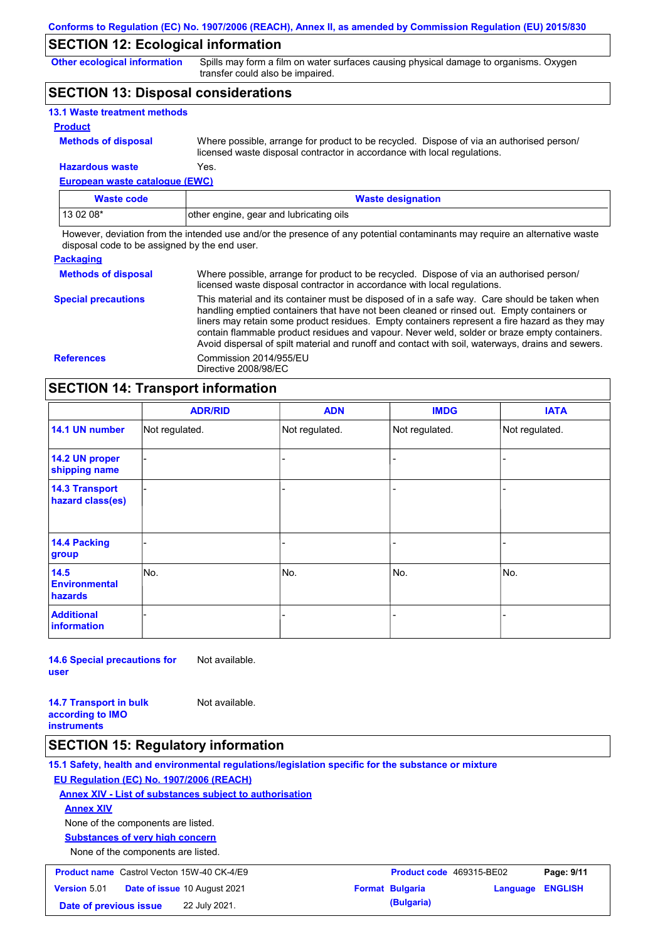## **SECTION 12: Ecological information**

**Other ecological information**

Spills may form a film on water surfaces causing physical damage to organisms. Oxygen transfer could also be impaired.

## **SECTION 13: Disposal considerations**

| <b>13.1 Waste treatment methods</b> |                                                                                                                                                                      |
|-------------------------------------|----------------------------------------------------------------------------------------------------------------------------------------------------------------------|
| <b>Product</b>                      |                                                                                                                                                                      |
| <b>Methods of disposal</b>          | Where possible, arrange for product to be recycled. Dispose of via an authorised person/<br>licensed waste disposal contractor in accordance with local regulations. |
| <b>Hazardous waste</b>              | Yes.                                                                                                                                                                 |

**European waste catalogue (EWC)**

| Waste code | <b>Waste designation</b>                |
|------------|-----------------------------------------|
| $130208*$  | other engine, gear and lubricating oils |

However, deviation from the intended use and/or the presence of any potential contaminants may require an alternative waste disposal code to be assigned by the end user.

| <b>Packaging</b>           |                                                                                                                                                                                                                                                                                                                                                                                                                                                                                                 |
|----------------------------|-------------------------------------------------------------------------------------------------------------------------------------------------------------------------------------------------------------------------------------------------------------------------------------------------------------------------------------------------------------------------------------------------------------------------------------------------------------------------------------------------|
| <b>Methods of disposal</b> | Where possible, arrange for product to be recycled. Dispose of via an authorised person/<br>licensed waste disposal contractor in accordance with local regulations.                                                                                                                                                                                                                                                                                                                            |
| <b>Special precautions</b> | This material and its container must be disposed of in a safe way. Care should be taken when<br>handling emptied containers that have not been cleaned or rinsed out. Empty containers or<br>liners may retain some product residues. Empty containers represent a fire hazard as they may<br>contain flammable product residues and vapour. Never weld, solder or braze empty containers.<br>Avoid dispersal of spilt material and runoff and contact with soil, waterways, drains and sewers. |
| <b>References</b>          | Commission 2014/955/EU<br>Directive 2008/98/EC                                                                                                                                                                                                                                                                                                                                                                                                                                                  |

## **SECTION 14: Transport information**

|                                           | <b>ADR/RID</b> | <b>ADN</b>     | <b>IMDG</b>    | <b>IATA</b>    |  |
|-------------------------------------------|----------------|----------------|----------------|----------------|--|
| 14.1 UN number                            | Not regulated. | Not regulated. | Not regulated. | Not regulated. |  |
| 14.2 UN proper<br>shipping name           |                |                | ۰              |                |  |
| <b>14.3 Transport</b><br>hazard class(es) |                |                |                |                |  |
| 14.4 Packing<br>group                     |                |                |                |                |  |
| 14.5<br><b>Environmental</b><br>hazards   | No.            | No.            | No.            | No.            |  |
| <b>Additional</b><br><b>information</b>   |                |                |                |                |  |

**14.6 Special precautions for user** Not available.

**14.7 Transport in bulk according to IMO instruments** Not available.

### **SECTION 15: Regulatory information**

**15.1 Safety, health and environmental regulations/legislation specific for the substance or mixture EU Regulation (EC) No. 1907/2006 (REACH) Annex XIV - List of substances subject to authorisation Substances of very high concern** None of the components are listed. None of the components are listed. **Annex XIV Product name** Castrol Vecton 15W-40 CK-4/E9 **Product Code 469315-BE02 Page: 9/11 Version** 5.01 **Date of issue** 10 August 2021

**Date of previous issue** 22 July 2021.

| <b>Product code</b> 469315-BE02 |                  | Page: 9/11 |  |
|---------------------------------|------------------|------------|--|
| Format Bulgaria                 | Language ENGLISH |            |  |
| (Bulgaria)                      |                  |            |  |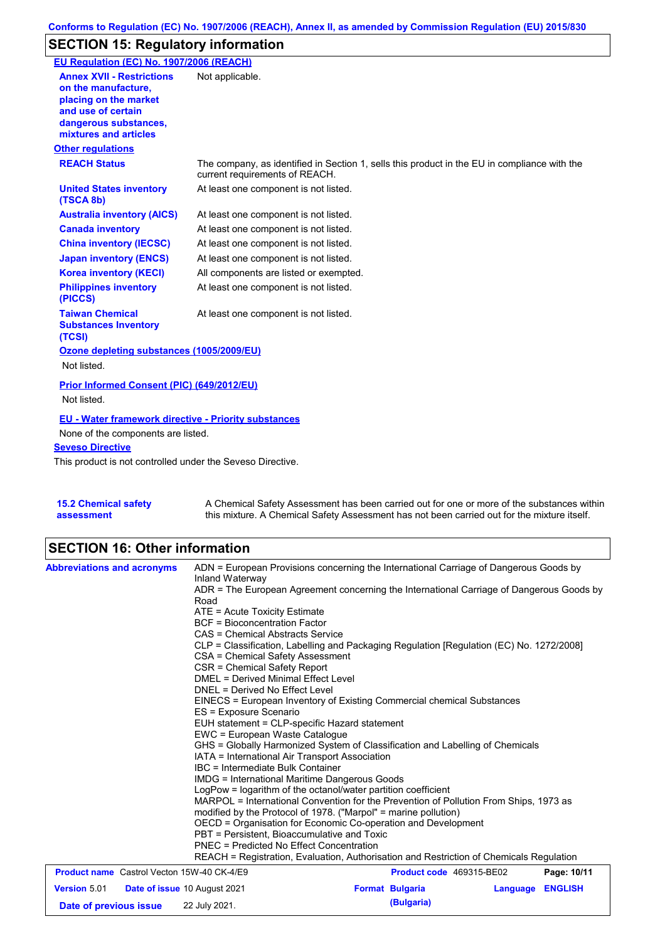## **SECTION 15: Regulatory information**

| EU Regulation (EC) No. 1907/2006 (REACH)                                                                                                                 |                                                                                                                                |
|----------------------------------------------------------------------------------------------------------------------------------------------------------|--------------------------------------------------------------------------------------------------------------------------------|
| <b>Annex XVII - Restrictions</b><br>on the manufacture.<br>placing on the market<br>and use of certain<br>dangerous substances,<br>mixtures and articles | Not applicable.                                                                                                                |
| <b>Other regulations</b>                                                                                                                                 |                                                                                                                                |
| <b>REACH Status</b>                                                                                                                                      | The company, as identified in Section 1, sells this product in the EU in compliance with the<br>current requirements of REACH. |
| <b>United States inventory</b><br>(TSCA 8b)                                                                                                              | At least one component is not listed.                                                                                          |
| <b>Australia inventory (AICS)</b>                                                                                                                        | At least one component is not listed.                                                                                          |
| <b>Canada inventory</b>                                                                                                                                  | At least one component is not listed.                                                                                          |
| <b>China inventory (IECSC)</b>                                                                                                                           | At least one component is not listed.                                                                                          |
| <b>Japan inventory (ENCS)</b>                                                                                                                            | At least one component is not listed.                                                                                          |
| <b>Korea inventory (KECI)</b>                                                                                                                            | All components are listed or exempted.                                                                                         |
| <b>Philippines inventory</b><br>(PICCS)                                                                                                                  | At least one component is not listed.                                                                                          |
| <b>Taiwan Chemical</b><br><b>Substances Inventory</b><br>(TCSI)                                                                                          | At least one component is not listed.                                                                                          |
| Ozone depleting substances (1005/2009/EU)                                                                                                                |                                                                                                                                |
| Not listed.                                                                                                                                              |                                                                                                                                |
| Prior Informed Consent (PIC) (649/2012/EU)<br>Not listed.                                                                                                |                                                                                                                                |
| <b>EU - Water framework directive - Priority substances</b>                                                                                              |                                                                                                                                |
| None of the components are listed.                                                                                                                       |                                                                                                                                |
| <b>Seveso Directive</b>                                                                                                                                  |                                                                                                                                |
| This product is not controlled under the Seveso Directive.                                                                                               |                                                                                                                                |

**15.2 Chemical safety assessment** A Chemical Safety Assessment has been carried out for one or more of the substances within this mixture. A Chemical Safety Assessment has not been carried out for the mixture itself.

# **SECTION 16: Other information**

| <b>Abbreviations and acronyms</b>                 | ADN = European Provisions concerning the International Carriage of Dangerous Goods by<br>Inland Waterway<br>ADR = The European Agreement concerning the International Carriage of Dangerous Goods by<br>Road<br>$ATE = Acute Toxicity Estimate$<br><b>BCF</b> = Bioconcentration Factor                                                                                                                                                                                          |                          |          |                |  |  |
|---------------------------------------------------|----------------------------------------------------------------------------------------------------------------------------------------------------------------------------------------------------------------------------------------------------------------------------------------------------------------------------------------------------------------------------------------------------------------------------------------------------------------------------------|--------------------------|----------|----------------|--|--|
|                                                   | CAS = Chemical Abstracts Service<br>CLP = Classification, Labelling and Packaging Regulation [Regulation (EC) No. 1272/2008]<br>CSA = Chemical Safety Assessment<br>CSR = Chemical Safety Report<br>DMEL = Derived Minimal Effect Level<br>DNEL = Derived No Effect Level                                                                                                                                                                                                        |                          |          |                |  |  |
|                                                   | EINECS = European Inventory of Existing Commercial chemical Substances<br>ES = Exposure Scenario<br>EUH statement = CLP-specific Hazard statement                                                                                                                                                                                                                                                                                                                                |                          |          |                |  |  |
|                                                   | EWC = European Waste Catalogue<br>GHS = Globally Harmonized System of Classification and Labelling of Chemicals<br>IATA = International Air Transport Association<br>IBC = Intermediate Bulk Container<br>IMDG = International Maritime Dangerous Goods                                                                                                                                                                                                                          |                          |          |                |  |  |
|                                                   | LogPow = logarithm of the octanol/water partition coefficient<br>MARPOL = International Convention for the Prevention of Pollution From Ships, 1973 as<br>modified by the Protocol of 1978. ("Marpol" = marine pollution)<br>OECD = Organisation for Economic Co-operation and Development<br>PBT = Persistent, Bioaccumulative and Toxic<br>PNEC = Predicted No Effect Concentration<br>REACH = Registration, Evaluation, Authorisation and Restriction of Chemicals Regulation |                          |          |                |  |  |
| <b>Product name</b> Castrol Vecton 15W-40 CK-4/E9 |                                                                                                                                                                                                                                                                                                                                                                                                                                                                                  | Product code 469315-BE02 |          | Page: 10/11    |  |  |
| <b>Version 5.01</b>                               | <b>Date of issue 10 August 2021</b>                                                                                                                                                                                                                                                                                                                                                                                                                                              | <b>Format Bulgaria</b>   | Language | <b>ENGLISH</b> |  |  |
| Date of previous issue                            | 22 July 2021.                                                                                                                                                                                                                                                                                                                                                                                                                                                                    | (Bulgaria)               |          |                |  |  |